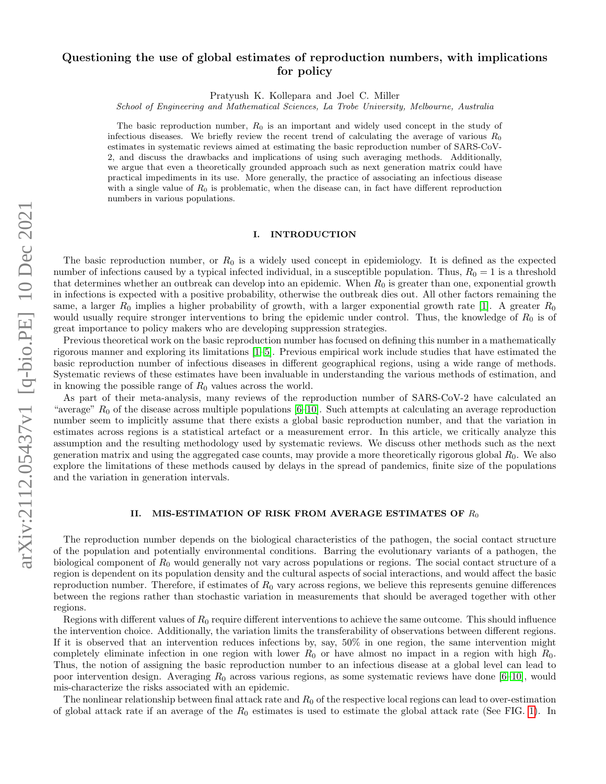# <span id="page-0-0"></span>Questioning the use of global estimates of reproduction numbers, with implications for policy

Pratyush K. Kollepara and Joel C. Miller

School of Engineering and Mathematical Sciences, La Trobe University, Melbourne, Australia

The basic reproduction number,  $R_0$  is an important and widely used concept in the study of infectious diseases. We briefly review the recent trend of calculating the average of various  $R_0$ estimates in systematic reviews aimed at estimating the basic reproduction number of SARS-CoV-2, and discuss the drawbacks and implications of using such averaging methods. Additionally, we argue that even a theoretically grounded approach such as next generation matrix could have practical impediments in its use. More generally, the practice of associating an infectious disease with a single value of  $R_0$  is problematic, when the disease can, in fact have different reproduction numbers in various populations.

# I. INTRODUCTION

The basic reproduction number, or  $R_0$  is a widely used concept in epidemiology. It is defined as the expected number of infections caused by a typical infected individual, in a susceptible population. Thus,  $R_0 = 1$  is a threshold that determines whether an outbreak can develop into an epidemic. When  $R_0$  is greater than one, exponential growth in infections is expected with a positive probability, otherwise the outbreak dies out. All other factors remaining the same, a larger  $R_0$  implies a higher probability of growth, with a larger exponential growth rate [\[1\]](#page-3-0). A greater  $R_0$ would usually require stronger interventions to bring the epidemic under control. Thus, the knowledge of  $R_0$  is of great importance to policy makers who are developing suppression strategies.

Previous theoretical work on the basic reproduction number has focused on defining this number in a mathematically rigorous manner and exploring its limitations [\[1](#page-3-0)[–5\]](#page-3-1). Previous empirical work include studies that have estimated the basic reproduction number of infectious diseases in different geographical regions, using a wide range of methods. Systematic reviews of these estimates have been invaluable in understanding the various methods of estimation, and in knowing the possible range of  $R_0$  values across the world.

As part of their meta-analysis, many reviews of the reproduction number of SARS-CoV-2 have calculated an "average"  $R_0$  of the disease across multiple populations [\[6–](#page-3-2)[10\]](#page-4-0). Such attempts at calculating an average reproduction number seem to implicitly assume that there exists a global basic reproduction number, and that the variation in estimates across regions is a statistical artefact or a measurement error. In this article, we critically analyze this assumption and the resulting methodology used by systematic reviews. We discuss other methods such as the next generation matrix and using the aggregated case counts, may provide a more theoretically rigorous global  $R_0$ . We also explore the limitations of these methods caused by delays in the spread of pandemics, finite size of the populations and the variation in generation intervals.

### II. MIS-ESTIMATION OF RISK FROM AVERAGE ESTIMATES OF  $R_0$

The reproduction number depends on the biological characteristics of the pathogen, the social contact structure of the population and potentially environmental conditions. Barring the evolutionary variants of a pathogen, the biological component of  $R_0$  would generally not vary across populations or regions. The social contact structure of a region is dependent on its population density and the cultural aspects of social interactions, and would affect the basic reproduction number. Therefore, if estimates of  $R_0$  vary across regions, we believe this represents genuine differences between the regions rather than stochastic variation in measurements that should be averaged together with other regions.

Regions with different values of  $R_0$  require different interventions to achieve the same outcome. This should influence the intervention choice. Additionally, the variation limits the transferability of observations between different regions. If it is observed that an intervention reduces infections by, say, 50% in one region, the same intervention might completely eliminate infection in one region with lower  $R_0$  or have almost no impact in a region with high  $R_0$ . Thus, the notion of assigning the basic reproduction number to an infectious disease at a global level can lead to poor intervention design. Averaging  $R_0$  across various regions, as some systematic reviews have done [\[6–](#page-3-2)[10\]](#page-4-0), would mis-characterize the risks associated with an epidemic.

The nonlinear relationship between final attack rate and  $R_0$  of the respective local regions can lead to over-estimation of global attack rate if an average of the  $R_0$  estimates is used to estimate the global attack rate (See FIG. [1\)](#page-1-0). In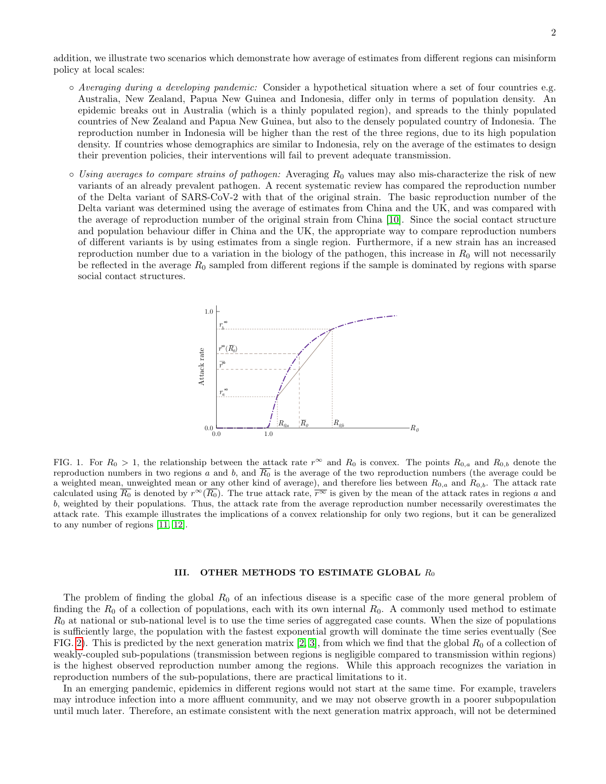addition, we illustrate two scenarios which demonstrate how average of estimates from different regions can misinform policy at local scales:

- Averaging during a developing pandemic: Consider a hypothetical situation where a set of four countries e.g. Australia, New Zealand, Papua New Guinea and Indonesia, differ only in terms of population density. An epidemic breaks out in Australia (which is a thinly populated region), and spreads to the thinly populated countries of New Zealand and Papua New Guinea, but also to the densely populated country of Indonesia. The reproduction number in Indonesia will be higher than the rest of the three regions, due to its high population density. If countries whose demographics are similar to Indonesia, rely on the average of the estimates to design their prevention policies, their interventions will fail to prevent adequate transmission.
- $\circ$  Using averages to compare strains of pathogen: Averaging  $R_0$  values may also mis-characterize the risk of new variants of an already prevalent pathogen. A recent systematic review has compared the reproduction number of the Delta variant of SARS-CoV-2 with that of the original strain. The basic reproduction number of the Delta variant was determined using the average of estimates from China and the UK, and was compared with the average of reproduction number of the original strain from China [\[10\]](#page-4-0). Since the social contact structure and population behaviour differ in China and the UK, the appropriate way to compare reproduction numbers of different variants is by using estimates from a single region. Furthermore, if a new strain has an increased reproduction number due to a variation in the biology of the pathogen, this increase in  $R_0$  will not necessarily be reflected in the average  $R_0$  sampled from different regions if the sample is dominated by regions with sparse social contact structures.



<span id="page-1-0"></span>FIG. 1. For  $R_0 > 1$ , the relationship between the attack rate  $r^{\infty}$  and  $R_0$  is convex. The points  $R_{0,a}$  and  $R_{0,b}$  denote the reproduction numbers in two regions a and b, and  $\overline{R_0}$  is the average of the two reproduction numbers (the average could be a weighted mean, unweighted mean or any other kind of average), and therefore lies between  $R_{0,a}$  and  $R_{0,b}$ . The attack rate calculated using  $\overline{R_0}$  is denoted by  $r^{\infty}(\overline{R_0})$ . The true attack rate,  $\overline{r^{\infty}}$  is given by the mean of the attack rates in regions a and b, weighted by their populations. Thus, the attack rate from the average reproduction number necessarily overestimates the attack rate. This example illustrates the implications of a convex relationship for only two regions, but it can be generalized to any number of regions [\[11,](#page-4-1) [12\]](#page-4-2).

# III. OTHER METHODS TO ESTIMATE GLOBAL  $R_0$

The problem of finding the global  $R_0$  of an infectious disease is a specific case of the more general problem of finding the  $R_0$  of a collection of populations, each with its own internal  $R_0$ . A commonly used method to estimate  $R_0$  at national or sub-national level is to use the time series of aggregated case counts. When the size of populations is sufficiently large, the population with the fastest exponential growth will dominate the time series eventually (See FIG. [2\)](#page-2-0). This is predicted by the next generation matrix [\[2,](#page-3-3) [3\]](#page-3-4), from which we find that the global  $R_0$  of a collection of weakly-coupled sub-populations (transmission between regions is negligible compared to transmission within regions) is the highest observed reproduction number among the regions. While this approach recognizes the variation in reproduction numbers of the sub-populations, there are practical limitations to it.

In an emerging pandemic, epidemics in different regions would not start at the same time. For example, travelers may introduce infection into a more affluent community, and we may not observe growth in a poorer subpopulation until much later. Therefore, an estimate consistent with the next generation matrix approach, will not be determined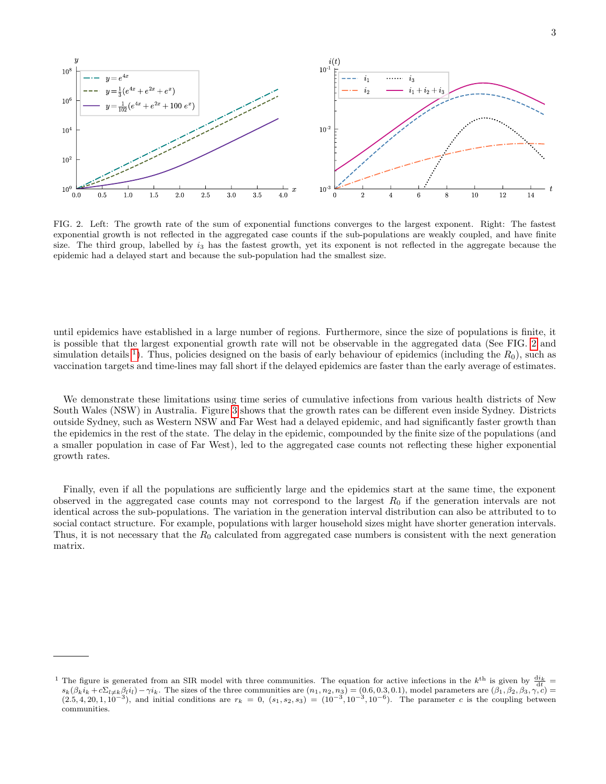

<span id="page-2-0"></span>FIG. 2. Left: The growth rate of the sum of exponential functions converges to the largest exponent. Right: The fastest exponential growth is not reflected in the aggregated case counts if the sub-populations are weakly coupled, and have finite size. The third group, labelled by  $i_3$  has the fastest growth, yet its exponent is not reflected in the aggregate because the epidemic had a delayed start and because the sub-population had the smallest size.

until epidemics have established in a large number of regions. Furthermore, since the size of populations is finite, it is possible that the largest exponential growth rate will not be observable in the aggregated data (See FIG. [2](#page-2-0) and simulation details <sup>[1](#page-0-0)</sup>). Thus, policies designed on the basis of early behaviour of epidemics (including the  $R_0$ ), such as vaccination targets and time-lines may fall short if the delayed epidemics are faster than the early average of estimates.

We demonstrate these limitations using time series of cumulative infections from various health districts of New South Wales (NSW) in Australia. Figure [3](#page-3-5) shows that the growth rates can be different even inside Sydney. Districts outside Sydney, such as Western NSW and Far West had a delayed epidemic, and had significantly faster growth than the epidemics in the rest of the state. The delay in the epidemic, compounded by the finite size of the populations (and a smaller population in case of Far West), led to the aggregated case counts not reflecting these higher exponential growth rates.

Finally, even if all the populations are sufficiently large and the epidemics start at the same time, the exponent observed in the aggregated case counts may not correspond to the largest  $R_0$  if the generation intervals are not identical across the sub-populations. The variation in the generation interval distribution can also be attributed to to social contact structure. For example, populations with larger household sizes might have shorter generation intervals. Thus, it is not necessary that the  $R_0$  calculated from aggregated case numbers is consistent with the next generation matrix.

<sup>&</sup>lt;sup>1</sup> The figure is generated from an SIR model with three communities. The equation for active infections in the k<sup>th</sup> is given by  $\frac{di_k}{dt}$  $s_k(\beta_k i_k + c\Sigma_{l\neq k} \beta_l i_l) - \gamma i_k$ . The sizes of the three communities are  $(n_1, n_2, n_3) = (0.6, 0.3, 0.1)$ , model parameters are  $(\beta_1, \beta_2, \beta_3, \gamma, c)$  $(2.5, 4, 20, 1, 10^{-3})$ , and initial conditions are  $r_k = 0$ ,  $(s_1, s_2, s_3) = (10^{-3}, 10^{-3}, 10^{-6})$ . The parameter c is the coupling between communities.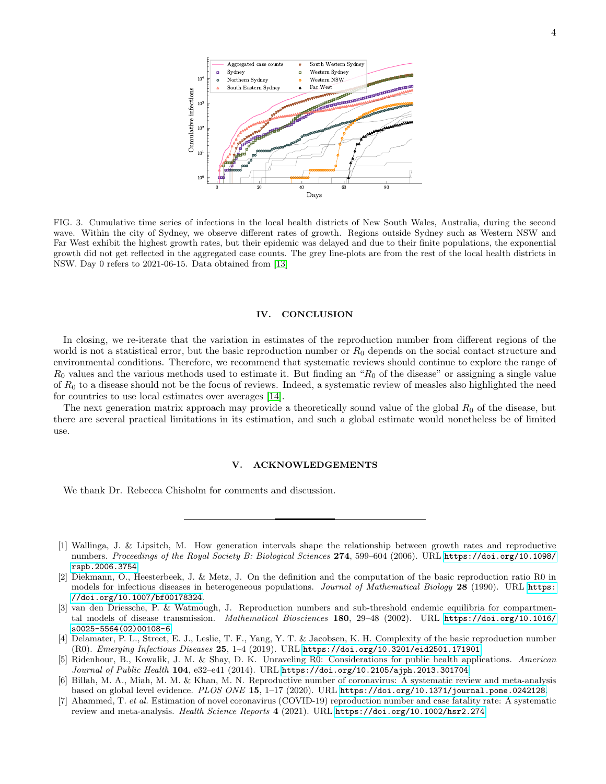

<span id="page-3-5"></span>FIG. 3. Cumulative time series of infections in the local health districts of New South Wales, Australia, during the second wave. Within the city of Sydney, we observe different rates of growth. Regions outside Sydney such as Western NSW and Far West exhibit the highest growth rates, but their epidemic was delayed and due to their finite populations, the exponential growth did not get reflected in the aggregated case counts. The grey line-plots are from the rest of the local health districts in NSW. Day 0 refers to 2021-06-15. Data obtained from [\[13\]](#page-4-3)

# IV. CONCLUSION

In closing, we re-iterate that the variation in estimates of the reproduction number from different regions of the world is not a statistical error, but the basic reproduction number or  $R_0$  depends on the social contact structure and environmental conditions. Therefore, we recommend that systematic reviews should continue to explore the range of  $R_0$  values and the various methods used to estimate it. But finding an " $R_0$  of the disease" or assigning a single value of  $R_0$  to a disease should not be the focus of reviews. Indeed, a systematic review of measles also highlighted the need for countries to use local estimates over averages [\[14\]](#page-4-4).

The next generation matrix approach may provide a theoretically sound value of the global  $R_0$  of the disease, but there are several practical limitations in its estimation, and such a global estimate would nonetheless be of limited use.

### V. ACKNOWLEDGEMENTS

We thank Dr. Rebecca Chisholm for comments and discussion.

- <span id="page-3-0"></span>[1] Wallinga, J. & Lipsitch, M. How generation intervals shape the relationship between growth rates and reproductive numbers. Proceedings of the Royal Society B: Biological Sciences 274, 599–604 (2006). URL [https://doi.org/10.1098/](https://doi.org/10.1098/rspb.2006.3754) [rspb.2006.3754](https://doi.org/10.1098/rspb.2006.3754).
- <span id="page-3-3"></span>[2] Diekmann, O., Heesterbeek, J. & Metz, J. On the definition and the computation of the basic reproduction ratio R0 in models for infectious diseases in heterogeneous populations. Journal of Mathematical Biology 28 (1990). URL [https:](https://doi.org/10.1007/bf00178324) [//doi.org/10.1007/bf00178324](https://doi.org/10.1007/bf00178324).
- <span id="page-3-4"></span>[3] van den Driessche, P. & Watmough, J. Reproduction numbers and sub-threshold endemic equilibria for compartmental models of disease transmission. Mathematical Biosciences 180, 29–48 (2002). URL [https://doi.org/10.1016/](https://doi.org/10.1016/s0025-5564(02)00108-6) [s0025-5564\(02\)00108-6](https://doi.org/10.1016/s0025-5564(02)00108-6).
- [4] Delamater, P. L., Street, E. J., Leslie, T. F., Yang, Y. T. & Jacobsen, K. H. Complexity of the basic reproduction number (R0). Emerging Infectious Diseases 25, 1–4 (2019). URL <https://doi.org/10.3201/eid2501.171901>.
- <span id="page-3-1"></span>[5] Ridenhour, B., Kowalik, J. M. & Shay, D. K. Unraveling R0: Considerations for public health applications. American Journal of Public Health 104, e32–e41 (2014). URL <https://doi.org/10.2105/ajph.2013.301704>.
- <span id="page-3-2"></span>[6] Billah, M. A., Miah, M. M. & Khan, M. N. Reproductive number of coronavirus: A systematic review and meta-analysis based on global level evidence. PLOS ONE 15, 1–17 (2020). URL <https://doi.org/10.1371/journal.pone.0242128>.
- [7] Ahammed, T. et al. Estimation of novel coronavirus (COVID-19) reproduction number and case fatality rate: A systematic review and meta-analysis. Health Science Reports 4 (2021). URL <https://doi.org/10.1002/hsr2.274>.